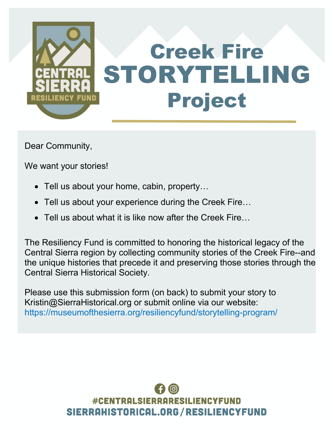

Dear Community,

We want your stories!

- Tell us about your home, cabin, property...
- Tell us about your experience during the Creek Fire...
- Tell us about what it is like now after the Creek Fire...

The Resiliency Fund is committed to honoring the historical legacy of the Central Sierra region by collecting community stories of the Creek Fire--and the unique histories that precede it and preserving those stories through the Central Sierra Historical Society.

Please use this submission form (on back) to submit your story to Kristin@SierraHistorical.org or submit online via our website: https://museumofthesierra.org/resiliencyfund/storytelling-program/

## **#CENTRALSIERRARESILIENC** SIERRAHISTORICAL.ORG/RESILIENCYFUND